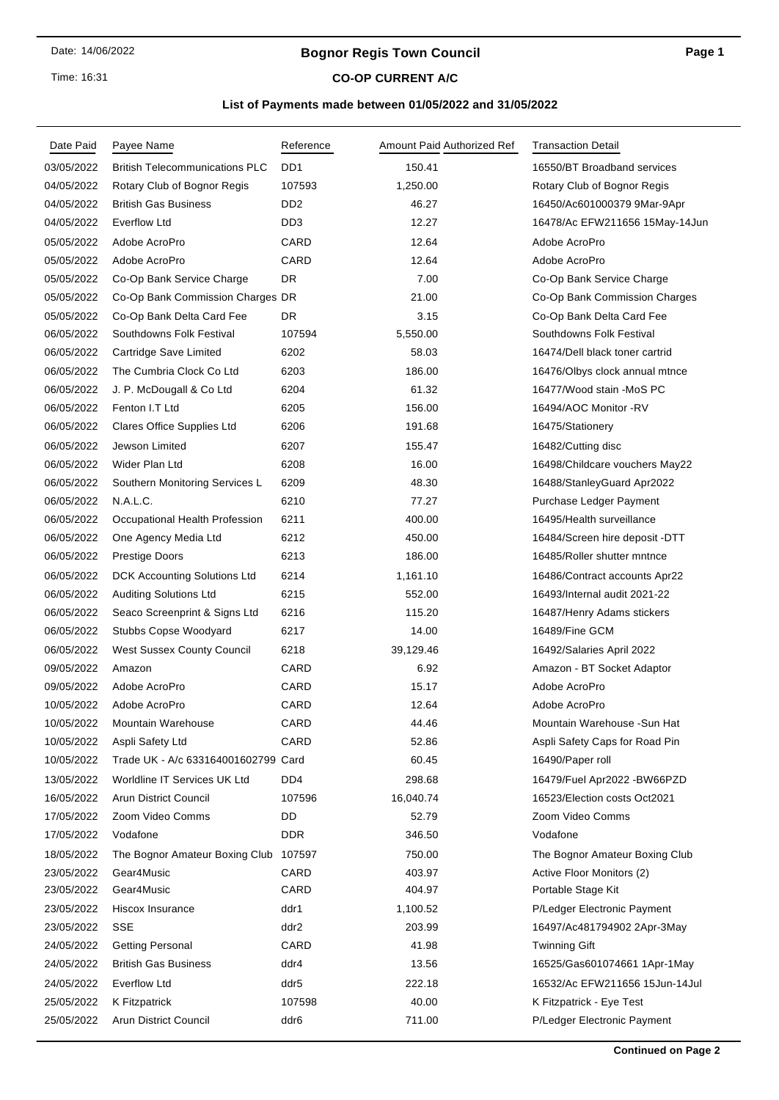Time: 16:31

# **Bognor Regis Town Council**

# **CO-OP CURRENT A/C**

# **List of Payments made between 01/05/2022 and 31/05/2022**

| Date Paid  | Payee Name                            | Reference        | Amount Paid Authorized Ref | <b>Transaction Detail</b>      |
|------------|---------------------------------------|------------------|----------------------------|--------------------------------|
| 03/05/2022 | <b>British Telecommunications PLC</b> | D <sub>D</sub> 1 | 150.41                     | 16550/BT Broadband services    |
| 04/05/2022 | Rotary Club of Bognor Regis           | 107593           | 1,250.00                   | Rotary Club of Bognor Regis    |
| 04/05/2022 | <b>British Gas Business</b>           | DD <sub>2</sub>  | 46.27                      | 16450/Ac601000379 9Mar-9Apr    |
| 04/05/2022 | Everflow Ltd                          | DD <sub>3</sub>  | 12.27                      | 16478/Ac EFW211656 15May-14Jun |
| 05/05/2022 | Adobe AcroPro                         | CARD             | 12.64                      | Adobe AcroPro                  |
| 05/05/2022 | Adobe AcroPro                         | CARD             | 12.64                      | Adobe AcroPro                  |
| 05/05/2022 | Co-Op Bank Service Charge             | <b>DR</b>        | 7.00                       | Co-Op Bank Service Charge      |
| 05/05/2022 | Co-Op Bank Commission Charges DR      |                  | 21.00                      | Co-Op Bank Commission Charges  |
| 05/05/2022 | Co-Op Bank Delta Card Fee             | DR               | 3.15                       | Co-Op Bank Delta Card Fee      |
| 06/05/2022 | Southdowns Folk Festival              | 107594           | 5,550.00                   | Southdowns Folk Festival       |
| 06/05/2022 | Cartridge Save Limited                | 6202             | 58.03                      | 16474/Dell black toner cartrid |
| 06/05/2022 | The Cumbria Clock Co Ltd              | 6203             | 186.00                     | 16476/Olbys clock annual mtnce |
| 06/05/2022 | J. P. McDougall & Co Ltd              | 6204             | 61.32                      | 16477/Wood stain -MoS PC       |
| 06/05/2022 | Fenton I.T Ltd                        | 6205             | 156.00                     | 16494/AOC Monitor -RV          |
| 06/05/2022 | Clares Office Supplies Ltd            | 6206             | 191.68                     | 16475/Stationery               |
| 06/05/2022 | Jewson Limited                        | 6207             | 155.47                     | 16482/Cutting disc             |
| 06/05/2022 | Wider Plan Ltd                        | 6208             | 16.00                      | 16498/Childcare vouchers May22 |
| 06/05/2022 | Southern Monitoring Services L        | 6209             | 48.30                      | 16488/StanleyGuard Apr2022     |
| 06/05/2022 | N.A.L.C.                              | 6210             | 77.27                      | Purchase Ledger Payment        |
| 06/05/2022 | Occupational Health Profession        | 6211             | 400.00                     | 16495/Health surveillance      |
| 06/05/2022 | One Agency Media Ltd                  | 6212             | 450.00                     | 16484/Screen hire deposit -DTT |
| 06/05/2022 | Prestige Doors                        | 6213             | 186.00                     | 16485/Roller shutter mntnce    |
| 06/05/2022 | DCK Accounting Solutions Ltd          | 6214             | 1,161.10                   | 16486/Contract accounts Apr22  |
| 06/05/2022 | <b>Auditing Solutions Ltd</b>         | 6215             | 552.00                     | 16493/Internal audit 2021-22   |
| 06/05/2022 | Seaco Screenprint & Signs Ltd         | 6216             | 115.20                     | 16487/Henry Adams stickers     |
| 06/05/2022 | Stubbs Copse Woodyard                 | 6217             | 14.00                      | 16489/Fine GCM                 |
| 06/05/2022 | West Sussex County Council            | 6218             | 39,129.46                  | 16492/Salaries April 2022      |
| 09/05/2022 | Amazon                                | CARD             | 6.92                       | Amazon - BT Socket Adaptor     |
| 09/05/2022 | Adobe AcroPro                         | CARD             | 15.17                      | Adobe AcroPro                  |
| 10/05/2022 | Adobe AcroPro                         | CARD             | 12.64                      | Adobe AcroPro                  |
| 10/05/2022 | Mountain Warehouse                    | CARD             | 44.46                      | Mountain Warehouse -Sun Hat    |
| 10/05/2022 | Aspli Safety Ltd                      | CARD             | 52.86                      | Aspli Safety Caps for Road Pin |
| 10/05/2022 | Trade UK - A/c 633164001602799 Card   |                  | 60.45                      | 16490/Paper roll               |
| 13/05/2022 | Worldline IT Services UK Ltd          | DD4              | 298.68                     | 16479/Fuel Apr2022 - BW66PZD   |
| 16/05/2022 | <b>Arun District Council</b>          | 107596           | 16,040.74                  | 16523/Election costs Oct2021   |
| 17/05/2022 | Zoom Video Comms                      | DD               | 52.79                      | Zoom Video Comms               |
| 17/05/2022 | Vodafone                              | <b>DDR</b>       | 346.50                     | Vodafone                       |
| 18/05/2022 | The Bognor Amateur Boxing Club        | 107597           | 750.00                     | The Bognor Amateur Boxing Club |
| 23/05/2022 | Gear4Music                            | CARD             | 403.97                     | Active Floor Monitors (2)      |
| 23/05/2022 | Gear4Music                            | CARD             | 404.97                     | Portable Stage Kit             |
| 23/05/2022 | Hiscox Insurance                      | ddr1             | 1,100.52                   | P/Ledger Electronic Payment    |
| 23/05/2022 | <b>SSE</b>                            | ddr2             | 203.99                     | 16497/Ac481794902 2Apr-3May    |
| 24/05/2022 | <b>Getting Personal</b>               | CARD             | 41.98                      | <b>Twinning Gift</b>           |
| 24/05/2022 | <b>British Gas Business</b>           | ddr4             | 13.56                      | 16525/Gas601074661 1Apr-1May   |
| 24/05/2022 | <b>Everflow Ltd</b>                   | ddr5             | 222.18                     | 16532/Ac EFW211656 15Jun-14Jul |
| 25/05/2022 | K Fitzpatrick                         | 107598           | 40.00                      | K Fitzpatrick - Eye Test       |
| 25/05/2022 | Arun District Council                 | ddr6             | 711.00                     | P/Ledger Electronic Payment    |
|            |                                       |                  |                            |                                |